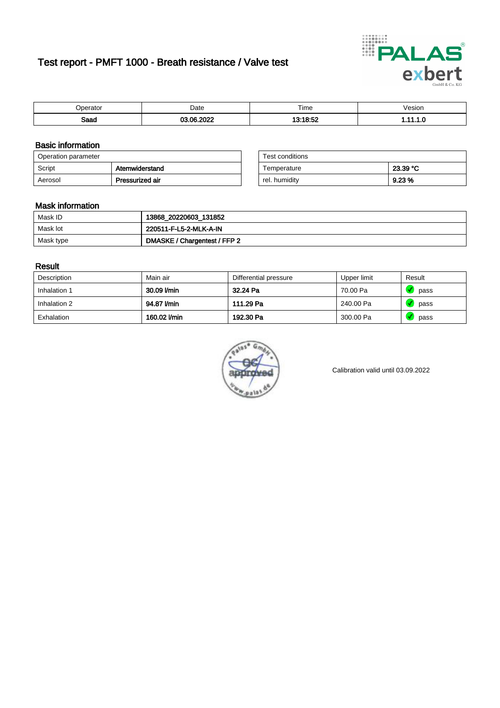# Test report - PMFT 1000 - Breath resistance / Valve test



| maxmax<br>ator | Date  | $- \cdot$<br>Time | esion/ |
|----------------|-------|-------------------|--------|
| Saad           | ----- | 49.40.50          | .      |

### Basic information

| Operation parameter |                 | Test conditions |          |
|---------------------|-----------------|-----------------|----------|
| Script              | Atemwiderstand  | Temperature     | 23.39 °C |
| Aerosol             | Pressurized air | rel. humidity   | 9.23%    |

| Test conditions |          |
|-----------------|----------|
| Temperature     | 23.39 °C |
| rel. humidity   | 9.23%    |

#### Mask information

| Mask ID   | 13868_20220603_131852        |
|-----------|------------------------------|
| Mask lot  | 220511-F-L5-2-MLK-A-IN       |
| Mask type | DMASKE / Chargentest / FFP 2 |

### Result

| Description  | Main air     | Differential pressure | Upper limit | Result |
|--------------|--------------|-----------------------|-------------|--------|
| Inhalation 1 | 30.09 l/min  | 32.24 Pa              | 70.00 Pa    | pass   |
| Inhalation 2 | 94.87 l/min  | 111.29 Pa             | 240.00 Pa   | pass   |
| Exhalation   | 160.02 l/min | 192.30 Pa             | 300.00 Pa   | pass   |



Calibration valid until 03.09.2022